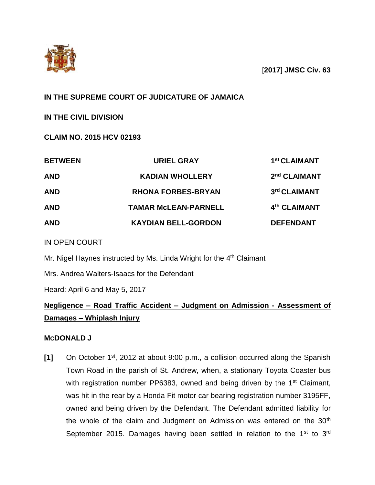

[**2017**] **JMSC Civ. 63**

## **IN THE SUPREME COURT OF JUDICATURE OF JAMAICA**

**IN THE CIVIL DIVISION**

**CLAIM NO. 2015 HCV 02193**

| <b>BETWEEN</b> | <b>URIEL GRAY</b>           | 1 <sup>st</sup> CLAIMANT |
|----------------|-----------------------------|--------------------------|
| <b>AND</b>     | <b>KADIAN WHOLLERY</b>      | 2 <sup>nd</sup> CLAIMANT |
| <b>AND</b>     | <b>RHONA FORBES-BRYAN</b>   | 3rd CLAIMANT             |
| <b>AND</b>     | <b>TAMAR MCLEAN-PARNELL</b> | 4th CLAIMANT             |
| <b>AND</b>     | <b>KAYDIAN BELL-GORDON</b>  | <b>DEFENDANT</b>         |

## IN OPEN COURT

Mr. Nigel Haynes instructed by Ms. Linda Wright for the 4<sup>th</sup> Claimant

Mrs. Andrea Walters-Isaacs for the Defendant

Heard: April 6 and May 5, 2017

# **Negligence – Road Traffic Accident – Judgment on Admission - Assessment of Damages – Whiplash Injury**

## **MCDONALD J**

**[1]** On October 1st, 2012 at about 9:00 p.m., a collision occurred along the Spanish Town Road in the parish of St. Andrew, when, a stationary Toyota Coaster bus with registration number PP6383, owned and being driven by the  $1<sup>st</sup>$  Claimant, was hit in the rear by a Honda Fit motor car bearing registration number 3195FF, owned and being driven by the Defendant. The Defendant admitted liability for the whole of the claim and Judgment on Admission was entered on the  $30<sup>th</sup>$ September 2015. Damages having been settled in relation to the  $1<sup>st</sup>$  to  $3<sup>rd</sup>$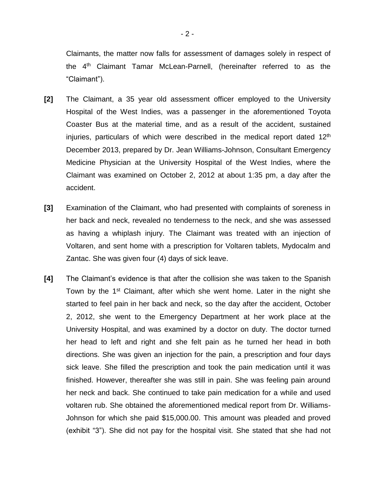Claimants, the matter now falls for assessment of damages solely in respect of the 4<sup>th</sup> Claimant Tamar McLean-Parnell, (hereinafter referred to as the "Claimant").

- **[2]** The Claimant, a 35 year old assessment officer employed to the University Hospital of the West Indies, was a passenger in the aforementioned Toyota Coaster Bus at the material time, and as a result of the accident, sustained injuries, particulars of which were described in the medical report dated  $12<sup>th</sup>$ December 2013, prepared by Dr. Jean Williams-Johnson, Consultant Emergency Medicine Physician at the University Hospital of the West Indies, where the Claimant was examined on October 2, 2012 at about 1:35 pm, a day after the accident.
- **[3]** Examination of the Claimant, who had presented with complaints of soreness in her back and neck, revealed no tenderness to the neck, and she was assessed as having a whiplash injury. The Claimant was treated with an injection of Voltaren, and sent home with a prescription for Voltaren tablets, Mydocalm and Zantac. She was given four (4) days of sick leave.
- **[4]** The Claimant's evidence is that after the collision she was taken to the Spanish Town by the 1<sup>st</sup> Claimant, after which she went home. Later in the night she started to feel pain in her back and neck, so the day after the accident, October 2, 2012, she went to the Emergency Department at her work place at the University Hospital, and was examined by a doctor on duty. The doctor turned her head to left and right and she felt pain as he turned her head in both directions. She was given an injection for the pain, a prescription and four days sick leave. She filled the prescription and took the pain medication until it was finished. However, thereafter she was still in pain. She was feeling pain around her neck and back. She continued to take pain medication for a while and used voltaren rub. She obtained the aforementioned medical report from Dr. Williams-Johnson for which she paid \$15,000.00. This amount was pleaded and proved (exhibit "3"). She did not pay for the hospital visit. She stated that she had not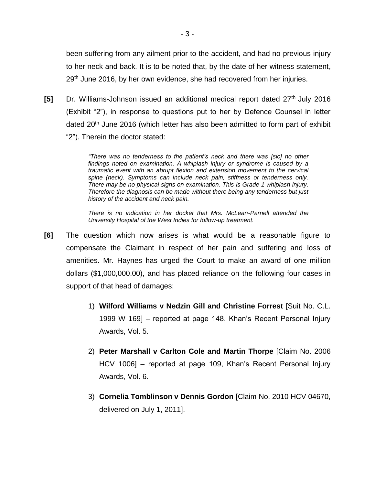been suffering from any ailment prior to the accident, and had no previous injury to her neck and back. It is to be noted that, by the date of her witness statement, 29<sup>th</sup> June 2016, by her own evidence, she had recovered from her injuries.

**[5]** Dr. Williams-Johnson issued an additional medical report dated 27<sup>th</sup> July 2016 (Exhibit "2"), in response to questions put to her by Defence Counsel in letter dated 20<sup>th</sup> June 2016 (which letter has also been admitted to form part of exhibit "2"). Therein the doctor stated:

> *"There was no tenderness to the patient's neck and there was [sic] no other findings noted on examination. A whiplash injury or syndrome is caused by a traumatic event with an abrupt flexion and extension movement to the cervical spine (neck). Symptoms can include neck pain, stiffness or tenderness only. There may be no physical signs on examination. This is Grade 1 whiplash injury. Therefore the diagnosis can be made without there being any tenderness but just history of the accident and neck pain.*

> *There is no indication in her docket that Mrs. McLean-Parnell attended the University Hospital of the West Indies for follow-up treatment.*

- **[6]** The question which now arises is what would be a reasonable figure to compensate the Claimant in respect of her pain and suffering and loss of amenities. Mr. Haynes has urged the Court to make an award of one million dollars (\$1,000,000.00), and has placed reliance on the following four cases in support of that head of damages:
	- 1) **Wilford Williams v Nedzin Gill and Christine Forrest** [Suit No. C.L. 1999 W 169] – reported at page 148, Khan's Recent Personal Injury Awards, Vol. 5.
	- 2) **Peter Marshall v Carlton Cole and Martin Thorpe** [Claim No. 2006 HCV 1006] – reported at page 109, Khan's Recent Personal Injury Awards, Vol. 6.
	- 3) **Cornelia Tomblinson v Dennis Gordon** [Claim No. 2010 HCV 04670, delivered on July 1, 2011].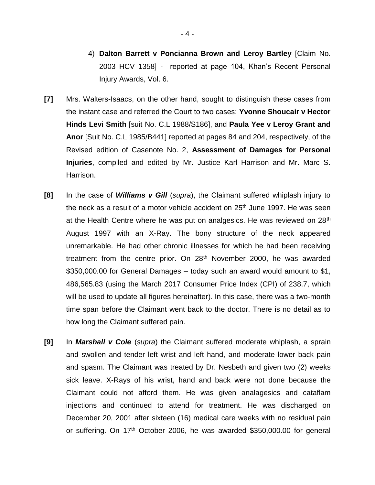- 4) **Dalton Barrett v Poncianna Brown and Leroy Bartley** [Claim No. 2003 HCV 1358] - reported at page 104, Khan's Recent Personal Injury Awards, Vol. 6.
- **[7]** Mrs. Walters-Isaacs, on the other hand, sought to distinguish these cases from the instant case and referred the Court to two cases: **Yvonne Shoucair v Hector Hinds Levi Smith** [suit No. C.L 1988/S186], and **Paula Yee v Leroy Grant and Anor** [Suit No. C.L 1985/B441] reported at pages 84 and 204, respectively, of the Revised edition of Casenote No. 2, **Assessment of Damages for Personal Injuries**, compiled and edited by Mr. Justice Karl Harrison and Mr. Marc S. Harrison.
- **[8]** In the case of *Williams v Gill* (*supra*), the Claimant suffered whiplash injury to the neck as a result of a motor vehicle accident on 25<sup>th</sup> June 1997. He was seen at the Health Centre where he was put on analgesics. He was reviewed on 28<sup>th</sup> August 1997 with an X-Ray. The bony structure of the neck appeared unremarkable. He had other chronic illnesses for which he had been receiving treatment from the centre prior. On 28<sup>th</sup> November 2000, he was awarded \$350,000.00 for General Damages – today such an award would amount to \$1, 486,565.83 (using the March 2017 Consumer Price Index (CPI) of 238.7, which will be used to update all figures hereinafter). In this case, there was a two-month time span before the Claimant went back to the doctor. There is no detail as to how long the Claimant suffered pain.
- **[9]** In *Marshall v Cole* (*supra*) the Claimant suffered moderate whiplash, a sprain and swollen and tender left wrist and left hand, and moderate lower back pain and spasm. The Claimant was treated by Dr. Nesbeth and given two (2) weeks sick leave. X-Rays of his wrist, hand and back were not done because the Claimant could not afford them. He was given analagesics and cataflam injections and continued to attend for treatment. He was discharged on December 20, 2001 after sixteen (16) medical care weeks with no residual pain or suffering. On  $17<sup>th</sup>$  October 2006, he was awarded \$350,000.00 for general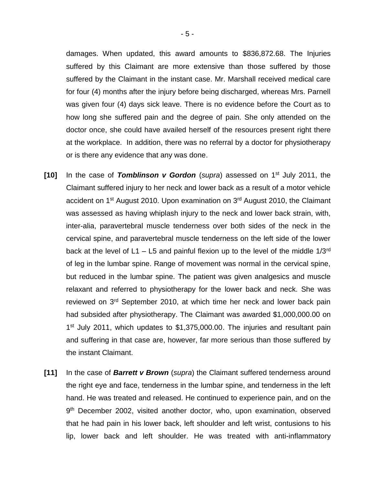damages. When updated, this award amounts to \$836,872.68. The Injuries suffered by this Claimant are more extensive than those suffered by those suffered by the Claimant in the instant case. Mr. Marshall received medical care for four (4) months after the injury before being discharged, whereas Mrs. Parnell was given four (4) days sick leave. There is no evidence before the Court as to how long she suffered pain and the degree of pain. She only attended on the doctor once, she could have availed herself of the resources present right there at the workplace. In addition, there was no referral by a doctor for physiotherapy or is there any evidence that any was done.

- **[10]** In the case of *Tomblinson v Gordon* (*supra*) assessed on 1st July 2011, the Claimant suffered injury to her neck and lower back as a result of a motor vehicle accident on 1<sup>st</sup> August 2010. Upon examination on 3<sup>rd</sup> August 2010, the Claimant was assessed as having whiplash injury to the neck and lower back strain, with, inter-alia, paravertebral muscle tenderness over both sides of the neck in the cervical spine, and paravertebral muscle tenderness on the left side of the lower back at the level of L1 – L5 and painful flexion up to the level of the middle  $1/3^{rd}$ of leg in the lumbar spine. Range of movement was normal in the cervical spine, but reduced in the lumbar spine. The patient was given analgesics and muscle relaxant and referred to physiotherapy for the lower back and neck. She was reviewed on 3<sup>rd</sup> September 2010, at which time her neck and lower back pain had subsided after physiotherapy. The Claimant was awarded \$1,000,000.00 on 1<sup>st</sup> July 2011, which updates to \$1,375,000.00. The injuries and resultant pain and suffering in that case are, however, far more serious than those suffered by the instant Claimant.
- **[11]** In the case of *Barrett v Brown* (*supra*) the Claimant suffered tenderness around the right eye and face, tenderness in the lumbar spine, and tenderness in the left hand. He was treated and released. He continued to experience pain, and on the 9<sup>th</sup> December 2002, visited another doctor, who, upon examination, observed that he had pain in his lower back, left shoulder and left wrist, contusions to his lip, lower back and left shoulder. He was treated with anti-inflammatory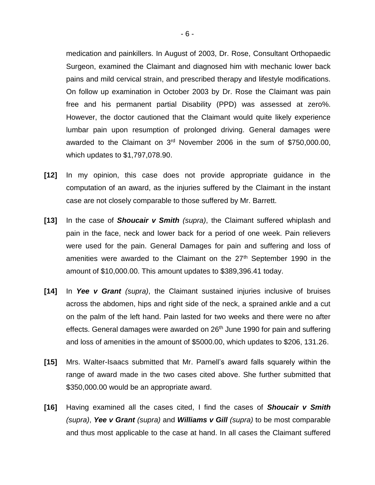medication and painkillers. In August of 2003, Dr. Rose, Consultant Orthopaedic Surgeon, examined the Claimant and diagnosed him with mechanic lower back pains and mild cervical strain, and prescribed therapy and lifestyle modifications. On follow up examination in October 2003 by Dr. Rose the Claimant was pain free and his permanent partial Disability (PPD) was assessed at zero%. However, the doctor cautioned that the Claimant would quite likely experience lumbar pain upon resumption of prolonged driving. General damages were awarded to the Claimant on 3rd November 2006 in the sum of \$750,000.00, which updates to \$1,797,078.90.

- **[12]** In my opinion, this case does not provide appropriate guidance in the computation of an award, as the injuries suffered by the Claimant in the instant case are not closely comparable to those suffered by Mr. Barrett.
- **[13]** In the case of *Shoucair v Smith (supra)*, the Claimant suffered whiplash and pain in the face, neck and lower back for a period of one week. Pain relievers were used for the pain. General Damages for pain and suffering and loss of amenities were awarded to the Claimant on the 27<sup>th</sup> September 1990 in the amount of \$10,000.00. This amount updates to \$389,396.41 today.
- **[14]** In *Yee v Grant (supra)*, the Claimant sustained injuries inclusive of bruises across the abdomen, hips and right side of the neck, a sprained ankle and a cut on the palm of the left hand. Pain lasted for two weeks and there were no after effects. General damages were awarded on 26<sup>th</sup> June 1990 for pain and suffering and loss of amenities in the amount of \$5000.00, which updates to \$206, 131.26.
- **[15]** Mrs. Walter-Isaacs submitted that Mr. Parnell's award falls squarely within the range of award made in the two cases cited above. She further submitted that \$350,000.00 would be an appropriate award.
- **[16]** Having examined all the cases cited, I find the cases of *Shoucair v Smith (supra)*, *Yee v Grant (supra)* and *Williams v Gill (supra)* to be most comparable and thus most applicable to the case at hand. In all cases the Claimant suffered